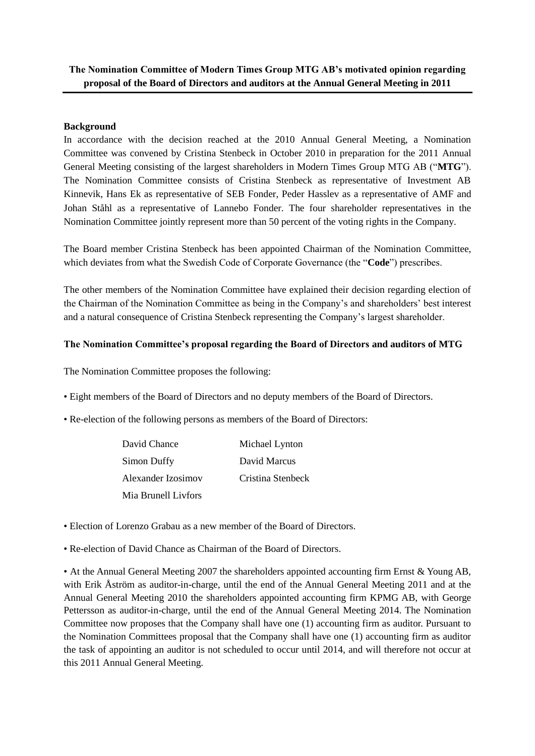## **The Nomination Committee of Modern Times Group MTG AB's motivated opinion regarding proposal of the Board of Directors and auditors at the Annual General Meeting in 2011**

## **Background**

In accordance with the decision reached at the 2010 Annual General Meeting, a Nomination Committee was convened by Cristina Stenbeck in October 2010 in preparation for the 2011 Annual General Meeting consisting of the largest shareholders in Modern Times Group MTG AB ("**MTG**"). The Nomination Committee consists of Cristina Stenbeck as representative of Investment AB Kinnevik, Hans Ek as representative of SEB Fonder, Peder Hasslev as a representative of AMF and Johan Ståhl as a representative of Lannebo Fonder. The four shareholder representatives in the Nomination Committee jointly represent more than 50 percent of the voting rights in the Company.

The Board member Cristina Stenbeck has been appointed Chairman of the Nomination Committee, which deviates from what the Swedish Code of Corporate Governance (the "**Code**") prescribes.

The other members of the Nomination Committee have explained their decision regarding election of the Chairman of the Nomination Committee as being in the Company's and shareholders' best interest and a natural consequence of Cristina Stenbeck representing the Company's largest shareholder.

## **The Nomination Committee's proposal regarding the Board of Directors and auditors of MTG**

The Nomination Committee proposes the following:

- Eight members of the Board of Directors and no deputy members of the Board of Directors.
- Re-election of the following persons as members of the Board of Directors:

| David Chance        | Michael Lynton    |
|---------------------|-------------------|
| Simon Duffy         | David Marcus      |
| Alexander Izosimov  | Cristina Stenbeck |
| Mia Brunell Livfors |                   |

- Election of Lorenzo Grabau as a new member of the Board of Directors.
- Re-election of David Chance as Chairman of the Board of Directors.

• At the Annual General Meeting 2007 the shareholders appointed accounting firm Ernst & Young AB, with Erik Åström as auditor-in-charge, until the end of the Annual General Meeting 2011 and at the Annual General Meeting 2010 the shareholders appointed accounting firm KPMG AB, with George Pettersson as auditor-in-charge, until the end of the Annual General Meeting 2014. The Nomination Committee now proposes that the Company shall have one (1) accounting firm as auditor. Pursuant to the Nomination Committees proposal that the Company shall have one (1) accounting firm as auditor the task of appointing an auditor is not scheduled to occur until 2014, and will therefore not occur at this 2011 Annual General Meeting.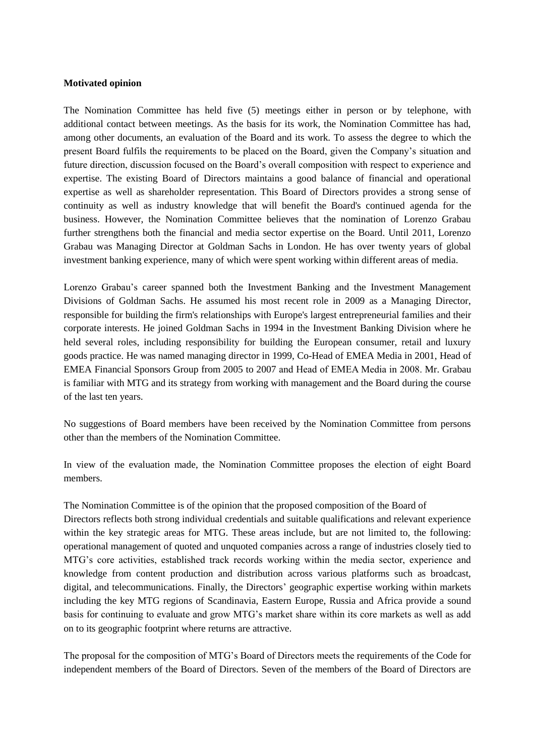## **Motivated opinion**

The Nomination Committee has held five (5) meetings either in person or by telephone, with additional contact between meetings. As the basis for its work, the Nomination Committee has had, among other documents, an evaluation of the Board and its work. To assess the degree to which the present Board fulfils the requirements to be placed on the Board, given the Company's situation and future direction, discussion focused on the Board's overall composition with respect to experience and expertise. The existing Board of Directors maintains a good balance of financial and operational expertise as well as shareholder representation. This Board of Directors provides a strong sense of continuity as well as industry knowledge that will benefit the Board's continued agenda for the business. However, the Nomination Committee believes that the nomination of Lorenzo Grabau further strengthens both the financial and media sector expertise on the Board. Until 2011, Lorenzo Grabau was Managing Director at Goldman Sachs in London. He has over twenty years of global investment banking experience, many of which were spent working within different areas of media.

Lorenzo Grabau's career spanned both the Investment Banking and the Investment Management Divisions of Goldman Sachs. He assumed his most recent role in 2009 as a Managing Director, responsible for building the firm's relationships with Europe's largest entrepreneurial families and their corporate interests. He joined Goldman Sachs in 1994 in the Investment Banking Division where he held several roles, including responsibility for building the European consumer, retail and luxury goods practice. He was named managing director in 1999, Co-Head of EMEA Media in 2001, Head of EMEA Financial Sponsors Group from 2005 to 2007 and Head of EMEA Media in 2008. Mr. Grabau is familiar with MTG and its strategy from working with management and the Board during the course of the last ten years.

No suggestions of Board members have been received by the Nomination Committee from persons other than the members of the Nomination Committee.

In view of the evaluation made, the Nomination Committee proposes the election of eight Board members.

The Nomination Committee is of the opinion that the proposed composition of the Board of Directors reflects both strong individual credentials and suitable qualifications and relevant experience within the key strategic areas for MTG. These areas include, but are not limited to, the following: operational management of quoted and unquoted companies across a range of industries closely tied to MTG's core activities, established track records working within the media sector, experience and knowledge from content production and distribution across various platforms such as broadcast, digital, and telecommunications. Finally, the Directors' geographic expertise working within markets including the key MTG regions of Scandinavia, Eastern Europe, Russia and Africa provide a sound basis for continuing to evaluate and grow MTG's market share within its core markets as well as add on to its geographic footprint where returns are attractive.

The proposal for the composition of MTG's Board of Directors meets the requirements of the Code for independent members of the Board of Directors. Seven of the members of the Board of Directors are